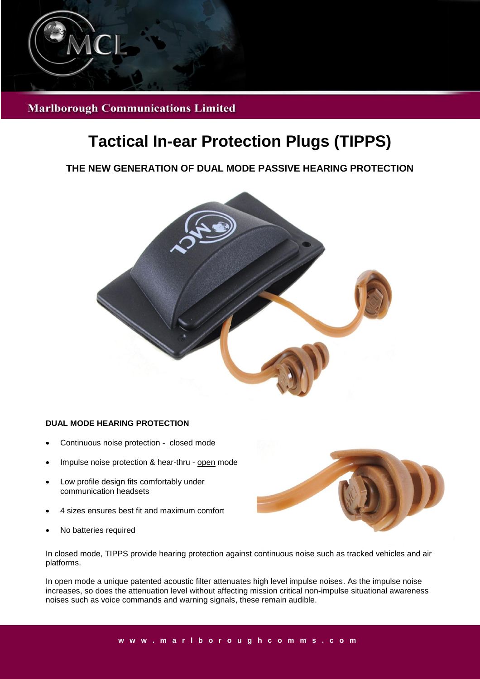

**Marlborough Communications Limited** 

# **Tactical In-ear Protection Plugs (TIPPS)**

# **THE NEW GENERATION OF DUAL MODE PASSIVE HEARING PROTECTION**



#### **DUAL MODE HEARING PROTECTION**

- Continuous noise protection closed mode
- Impulse noise protection & hear-thru open mode
- Low profile design fits comfortably under communication headsets
- 4 sizes ensures best fit and maximum comfort
- No batteries required



In closed mode, TIPPS provide hearing protection against continuous noise such as tracked vehicles and air platforms.

In open mode a unique patented acoustic filter attenuates high level impulse noises. As the impulse noise increases, so does the attenuation level without affecting mission critical non-impulse situational awareness noises such as voice commands and warning signals, these remain audible.